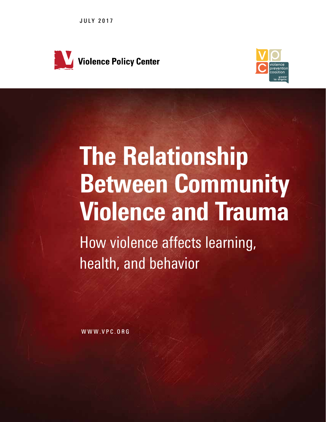JULY 2017





# The Relationship Between Community Violence and Trauma

How violence affects learning, health, and behavior

WWW.VPC.ORG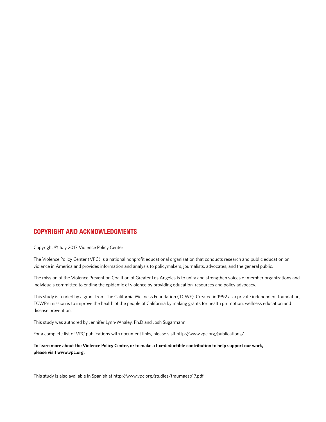#### COPYRIGHT AND ACKNOWLEDGMENTS

Copyright © July 2017 Violence Policy Center

The Violence Policy Center (VPC) is a national nonprofit educational organization that conducts research and public education on violence in America and provides information and analysis to policymakers, journalists, advocates, and the general public.

The mission of the Violence Prevention Coalition of Greater Los Angeles is to unify and strengthen voices of member organizations and individuals committed to ending the epidemic of violence by providing education, resources and policy advocacy.

This study is funded by a grant from The California Wellness Foundation (TCWF). Created in 1992 as a private independent foundation, TCWF's mission is to improve the health of the people of California by making grants for health promotion, wellness education and disease prevention.

This study was authored by Jennifer Lynn-Whaley, Ph.D and Josh Sugarmann.

For a complete list of VPC publications with document links, please visit http://www.vpc.org/publications/.

**To learn more about the Violence Policy Center, or to make a tax-deductible contribution to help support our work, please visit www.vpc.org.**

This study is also available in Spanish at http://www.vpc.org/studies/traumaesp17.pdf.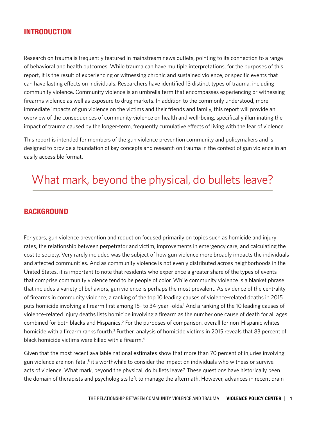## INTRODUCTION

Research on trauma is frequently featured in mainstream news outlets, pointing to its connection to a range of behavioral and health outcomes. While trauma can have multiple interpretations, for the purposes of this report, it is the result of experiencing or witnessing chronic and sustained violence, or specific events that can have lasting effects on individuals. Researchers have identified 13 distinct types of trauma, including community violence. Community violence is an umbrella term that encompasses experiencing or witnessing firearms violence as well as exposure to drug markets. In addition to the commonly understood, more immediate impacts of gun violence on the victims and their friends and family, this report will provide an overview of the consequences of community violence on health and well-being, specifically illuminating the impact of trauma caused by the longer-term, frequently cumulative effects of living with the fear of violence.

This report is intended for members of the gun violence prevention community and policymakers and is designed to provide a foundation of key concepts and research on trauma in the context of gun violence in an easily accessible format.

# What mark, beyond the physical, do bullets leave?

## BACKGROUND

For years, gun violence prevention and reduction focused primarily on topics such as homicide and injury rates, the relationship between perpetrator and victim, improvements in emergency care, and calculating the cost to society. Very rarely included was the subject of how gun violence more broadly impacts the individuals and affected communities. And as community violence is not evenly distributed across neighborhoods in the United States, it is important to note that residents who experience a greater share of the types of events that comprise community violence tend to be people of color. While community violence is a blanket phrase that includes a variety of behaviors, gun violence is perhaps the most prevalent. As evidence of the centrality of firearms in community violence, a ranking of the top 10 leading causes of violence-related deaths in 2015 puts homicide involving a firearm first among 15- to 34-year -olds.<sup>1</sup> And a ranking of the 10 leading causes of violence-related injury deaths lists homicide involving a firearm as the number one cause of death for all ages combined for both blacks and Hispanics.<sup>2</sup> For the purposes of comparison, overall for non-Hispanic whites homicide with a firearm ranks fourth.<sup>3</sup> Further, analysis of homicide victims in 2015 reveals that 83 percent of black homicide victims were killed with a firearm.<sup>4</sup>

Given that the most recent available national estimates show that more than 70 percent of injuries involving gun violence are non-fatal,<sup>5</sup> it's worthwhile to consider the impact on individuals who witness or survive acts of violence. What mark, beyond the physical, do bullets leave? These questions have historically been the domain of therapists and psychologists left to manage the aftermath. However, advances in recent brain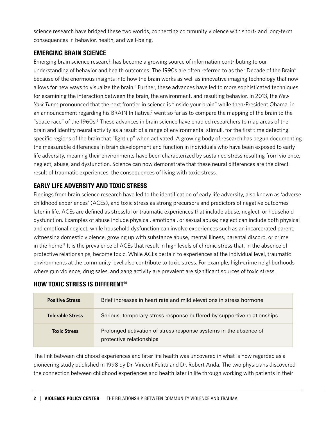science research have bridged these two worlds, connecting community violence with short- and long-term consequences in behavior, health, and well-being.

## EMERGING BRAIN SCIENCE

Emerging brain science research has become a growing source of information contributing to our understanding of behavior and health outcomes. The 1990s are often referred to as the "Decade of the Brain" because of the enormous insights into how the brain works as well as innovative imaging technology that now allows for new ways to visualize the brain.<sup>6</sup> Further, these advances have led to more sophisticated techniques for examining the interaction between the brain, the environment, and resulting behavior. In 2013, the *New York Times* pronounced that the next frontier in science is "inside your brain" while then-President Obama, in an announcement regarding his BRAIN Initiative,<sup>7</sup> went so far as to compare the mapping of the brain to the "space race" of the 1960s.<sup>8</sup> These advances in brain science have enabled researchers to map areas of the brain and identify neural activity as a result of a range of environmental stimuli, for the first time detecting specific regions of the brain that "light up" when activated. A growing body of research has begun documenting the measurable differences in brain development and function in individuals who have been exposed to early life adversity, meaning their environments have been characterized by sustained stress resulting from violence, neglect, abuse, and dysfunction. Science can now demonstrate that these neural differences are the direct result of traumatic experiences, the consequences of living with toxic stress.

## EARLY LIFE ADVERSITY AND TOXIC STRESS

Findings from brain science research have led to the identification of early life adversity, also known as 'adverse childhood experiences' (ACEs), and toxic stress as strong precursors and predictors of negative outcomes later in life. ACEs are defined as stressful or traumatic experiences that include abuse, neglect, or household dysfunction. Examples of abuse include physical, emotional, or sexual abuse; neglect can include both physical and emotional neglect; while household dysfunction can involve experiences such as an incarcerated parent, witnessing domestic violence, growing up with substance abuse, mental illness, parental discord, or crime in the home.<sup>9</sup> It is the prevalence of ACEs that result in high levels of chronic stress that, in the absence of protective relationships, become toxic. While ACEs pertain to experiences at the individual level, traumatic environments at the community level also contribute to toxic stress. For example, high-crime neighborhoods where gun violence, drug sales, and gang activity are prevalent are significant sources of toxic stress.

| <b>Positive Stress</b>  | Brief increases in heart rate and mild elevations in stress hormone                           |
|-------------------------|-----------------------------------------------------------------------------------------------|
| <b>Tolerable Stress</b> | Serious, temporary stress response buffered by supportive relationships                       |
| <b>Toxic Stress</b>     | Prolonged activation of stress response systems in the absence of<br>protective relationships |

## HOW TOXIC STRESS IS DIFFERENT<sup>10</sup>

The link between childhood experiences and later life health was uncovered in what is now regarded as a pioneering study published in 1998 by Dr. Vincent Felitti and Dr. Robert Anda. The two physicians discovered the connection between childhood experiences and health later in life through working with patients in their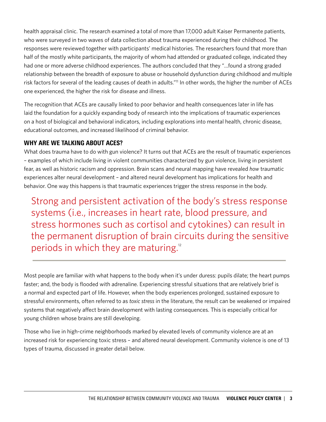health appraisal clinic. The research examined a total of more than 17,000 adult Kaiser Permanente patients, who were surveyed in two waves of data collection about trauma experienced during their childhood. The responses were reviewed together with participants' medical histories. The researchers found that more than half of the mostly white participants, the majority of whom had attended or graduated college, indicated they had one or more adverse childhood experiences. The authors concluded that they "…found a strong graded relationship between the breadth of exposure to abuse or household dysfunction during childhood and multiple risk factors for several of the leading causes of death in adults."<sup>11</sup> In other words, the higher the number of ACEs one experienced, the higher the risk for disease and illness.

The recognition that ACEs are causally linked to poor behavior and health consequences later in life has laid the foundation for a quickly expanding body of research into the implications of traumatic experiences on a host of biological and behavioral indicators, including explorations into mental health, chronic disease, educational outcomes, and increased likelihood of criminal behavior.

## WHY ARE WE TALKING ABOUT ACES?

What does trauma have to do with gun violence? It turns out that ACEs are the result of traumatic experiences – examples of which include living in violent communities characterized by gun violence, living in persistent fear, as well as historic racism and oppression. Brain scans and neural mapping have revealed *how* traumatic experiences alter neural development – and altered neural development has implications for health and behavior. One way this happens is that traumatic experiences trigger the stress response in the body.

Strong and persistent activation of the body's stress response systems (i.e., increases in heart rate, blood pressure, and stress hormones such as cortisol and cytokines) can result in the permanent disruption of brain circuits during the sensitive periods in which they are maturing. $12$ 

Most people are familiar with what happens to the body when it's under duress: pupils dilate; the heart pumps faster; and, the body is flooded with adrenaline. Experiencing stressful situations that are relatively brief is a normal and expected part of life. However, when the body experiences prolonged, sustained exposure to stressful environments, often referred to as *toxic stress* in the literature, the result can be weakened or impaired systems that negatively affect brain development with lasting consequences. This is especially critical for young children whose brains are still developing.

Those who live in high-crime neighborhoods marked by elevated levels of community violence are at an increased risk for experiencing toxic stress – and altered neural development. Community violence is one of 13 types of trauma, discussed in greater detail below.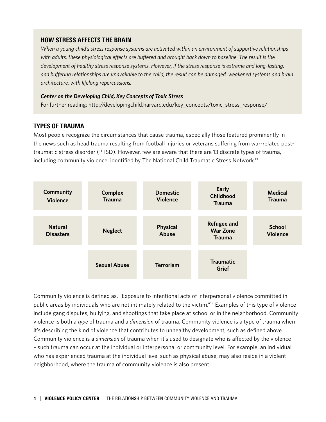## HOW STRESS AFFECTS THE BRAIN

*When a young child's stress response systems are activated within an environment of supportive relationships with adults, these physiological effects are buffered and brought back down to baseline. The result is the development of healthy stress response systems. However, if the stress response is extreme and long-lasting, and buffering relationships are unavailable to the child, the result can be damaged, weakened systems and brain architecture, with lifelong repercussions.*

#### *Center on the Developing Child, Key Concepts of Toxic Stress*

For further reading: http://developingchild.harvard.edu/key\_concepts/toxic\_stress\_response/

## TYPES OF TRAUMA

Most people recognize the circumstances that cause trauma, especially those featured prominently in the news such as head trauma resulting from football injuries or veterans suffering from war-related posttraumatic stress disorder (PTSD). However, few are aware that there are 13 discrete types of trauma, including community violence, identified by The National Child Traumatic Stress Network.<sup>13</sup>



Community violence is defined as, "Exposure to intentional acts of interpersonal violence committed in public areas by individuals who are not intimately related to the victim."14 Examples of this type of violence include gang disputes, bullying, and shootings that take place at school or in the neighborhood. Community violence is both a *type* of trauma and a *dimension* of trauma. Community violence is a type of trauma when it's describing the kind of violence that contributes to unhealthy development, such as defined above. Community violence is a *dimension* of trauma when it's used to designate who is affected by the violence – such trauma can occur at the individual or interpersonal or community level. For example, an individual who has experienced trauma at the individual level such as physical abuse, may also reside in a violent neighborhood, where the trauma of community violence is also present.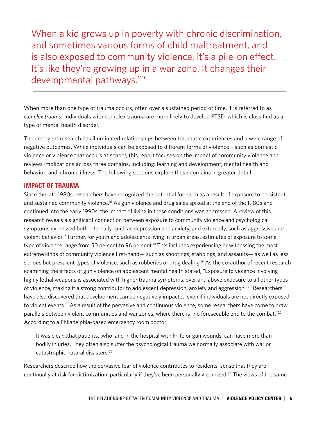When a kid grows up in poverty with chronic discrimination, and sometimes various forms of child maltreatment, and is also exposed to community violence, it's a pile-on effect. It's like they're growing up in a war zone. It changes their developmental pathways."<sup>15</sup>

When more than one type of trauma occurs, often over a sustained period of time, it is referred to as *complex trauma*. Individuals with complex trauma are more likely to develop PTSD, which is classified as a type of mental health disorder.

The emergent research has illuminated relationships between traumatic experiences and a wide range of negative outcomes. While individuals can be exposed to different forms of violence – such as domestic violence or violence that occurs at school, this report focuses on the impact of community violence and reviews implications across three domains, including: learning and development; mental health and behavior; and, chronic illness. The following sections explore these domains in greater detail.

### IMPACT OF TRAUMA

Since the late 1980s, researchers have recognized the potential for harm as a result of exposure to persistent and sustained community violence.<sup>16</sup> As gun violence and drug sales spiked at the end of the 1980s and continued into the early 1990s, the impact of living in these conditions was addressed. A review of this research reveals a significant connection between exposure to community violence and psychological symptoms expressed both internally, such as depression and anxiety, and externally, such as aggressive and violent behavior.17 Further, for youth and adolescents living in urban areas, estimates of exposure to some type of violence range from 50 percent to 96 percent.<sup>18</sup> This includes experiencing or witnessing the most extreme kinds of community violence first-hand— such as shootings, stabbings, and assaults— as well as less serious but prevalent types of violence, such as robberies or drug dealing.<sup>19</sup> As the co-author of recent research examining the effects of gun violence on adolescent mental health stated, "Exposure to violence involving highly lethal weapons is associated with higher trauma symptoms, over and above exposure to all other types of violence, making it a strong contributor to adolescent depression, anxiety and aggression."<sup>20</sup> Researchers have also discovered that development can be negatively impacted even if individuals are not directly exposed to violent events.<sup>21</sup> As a result of the pervasive and continuous violence, some researchers have come to draw parallels between violent communities and war zones, where there is "no foreseeable end to the combat."<sup>22</sup> According to a Philadelphia-based emergency room doctor:

It was clear…that patients…who land in the hospital with knife or gun wounds, can have more than bodily injuries. They often also suffer the psychological trauma we normally associate with war or catastrophic natural disasters.<sup>23</sup>

Researchers describe how the pervasive fear of violence contributes to residents' sense that they are continually at risk for victimization, particularly if they've been personally victimized.<sup>24</sup> The views of the same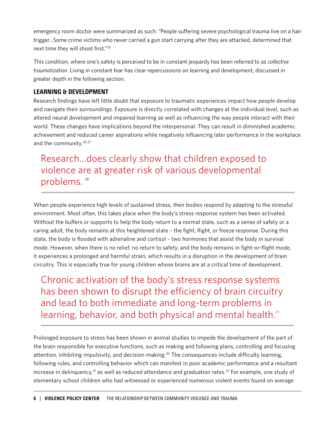emergency room doctor were summarized as such: "People suffering severe psychological trauma live on a hair trigger…Some crime victims who never carried a gun start carrying after they are attacked, determined that next time they will shoot first."25

This condition, where one's safety is perceived to be in constant jeopardy has been referred to as *collective traumatization*. Living in constant fear has clear repercussions on learning and development, discussed in greater depth in the following section.

## LEARNING & DEVELOPMENT

Research findings have left little doubt that exposure to traumatic experiences impact how people develop and navigate their surroundings. Exposure is directly correlated with changes at the individual level, such as altered neural development and impaired learning as well as influencing the way people interact with their world. These changes have implications beyond the interpersonal. They can result in diminished academic achievement and reduced career aspirations while negatively influencing later performance in the workplace and the community.<sup>26,27</sup>

# Research…does clearly show that children exposed to violence are at greater risk of various developmental problems.<sup>28</sup>

When people experience high levels of sustained stress, their bodies respond by adapting to the stressful environment. Most often, this takes place when the body's stress response system has been activated. Without the buffers or supports to help the body return to a normal state, such as a sense of safety or a caring adult, the body remains at this heightened state – the fight, flight, or freeze response. During this state, the body is flooded with adrenaline and cortisol – two hormones that assist the body in survival mode. However, when there is no relief, no return to safety, and the body remains in fight-or-flight mode, it experiences a prolonged and harmful strain, which results in a disruption in the development of brain circuitry. This is especially true for young children whose brains are at a critical time of development.

Chronic activation of the body's stress response systems has been shown to disrupt the efficiency of brain circuitry and lead to both immediate and long-term problems in learning, behavior, and both physical and mental health.<sup>29</sup>

Prolonged exposure to stress has been shown in animal studies to impede the development of the part of the brain responsible for executive functions, such as making and following plans, controlling and focusing attention, inhibiting impulsivity, and decision-making.<sup>30</sup> The consequences include difficulty learning, following rules, and controlling behavior which can manifest in poor academic performance and a resultant increase in delinquency,<sup>31</sup> as well as reduced attendance and graduation rates.<sup>32</sup> For example, one study of elementary school children who had witnessed or experienced numerous violent events found on average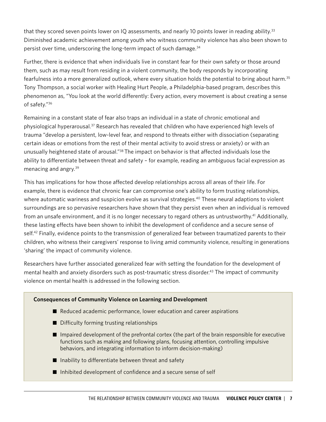that they scored seven points lower on IQ assessments, and nearly 10 points lower in reading ability. $33$ Diminished academic achievement among youth who witness community violence has also been shown to persist over time, underscoring the long-term impact of such damage.<sup>34</sup>

Further, there is evidence that when individuals live in constant fear for their own safety or those around them, such as may result from residing in a violent community, the body responds by incorporating fearfulness into a more generalized outlook, where every situation holds the potential to bring about harm.35 Tony Thompson, a social worker with Healing Hurt People, a Philadelphia-based program, describes this phenomenon as, "You look at the world differently: Every action, every movement is about creating a sense of safety."36

Remaining in a constant state of fear also traps an individual in a state of chronic emotional and physiological hyperarousal.37 Research has revealed that children who have experienced high levels of trauma "develop a persistent, low-level fear, and respond to threats either with dissociation (separating certain ideas or emotions from the rest of their mental activity to avoid stress or anxiety) or with an unusually heightened state of arousal."38 The impact on behavior is that affected individuals lose the ability to differentiate between threat and safety – for example, reading an ambiguous facial expression as menacing and angry.39

This has implications for how those affected develop relationships across all areas of their life. For example, there is evidence that chronic fear can compromise one's ability to form trusting relationships, where automatic wariness and suspicion evolve as survival strategies.<sup>40</sup> These neural adaptions to violent surroundings are so pervasive researchers have shown that they persist even when an individual is removed from an unsafe environment, and it is no longer necessary to regard others as untrustworthy.<sup>41</sup> Additionally, these lasting effects have been shown to inhibit the development of confidence and a secure sense of self.<sup>42</sup> Finally, evidence points to the transmission of generalized fear between traumatized parents to their children, who witness their caregivers' response to living amid community violence, resulting in generations 'sharing' the impact of community violence.

Researchers have further associated generalized fear with setting the foundation for the development of mental health and anxiety disorders such as post-traumatic stress disorder.<sup>43</sup> The impact of community violence on mental health is addressed in the following section.

#### **Consequences of Community Violence on Learning and Development**

- Reduced academic performance, lower education and career aspirations
- $\blacksquare$  Difficulty forming trusting relationships
- $\blacksquare$  Impaired development of the prefrontal cortex (the part of the brain responsible for executive functions such as making and following plans, focusing attention, controlling impulsive behaviors, and integrating information to inform decision-making)
- $\blacksquare$  Inability to differentiate between threat and safety
- $\blacksquare$  Inhibited development of confidence and a secure sense of self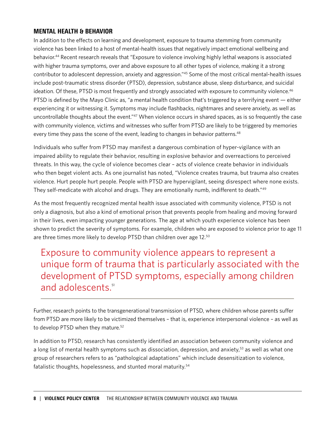## MENTAL HEALTH & BEHAVIOR

In addition to the effects on learning and development, exposure to trauma stemming from community violence has been linked to a host of mental-health issues that negatively impact emotional wellbeing and behavior.<sup>44</sup> Recent research reveals that "Exposure to violence involving highly lethal weapons is associated with higher trauma symptoms, over and above exposure to all other types of violence, making it a strong contributor to adolescent depression, anxiety and aggression."45 Some of the most critical mental-health issues include post-traumatic stress disorder (PTSD), depression, substance abuse, sleep disturbance, and suicidal ideation. Of these, PTSD is most frequently and strongly associated with exposure to community violence.<sup>46</sup> PTSD is defined by the Mayo Clinic as, "a mental health condition that's triggered by a terrifying event — either experiencing it or witnessing it. Symptoms may include flashbacks, nightmares and severe anxiety, as well as uncontrollable thoughts about the event."47 When violence occurs in shared spaces, as is so frequently the case with community violence, victims and witnesses who suffer from PTSD are likely to be triggered by memories every time they pass the scene of the event, leading to changes in behavior patterns.<sup>48</sup>

Individuals who suffer from PTSD may manifest a dangerous combination of hyper-vigilance with an impaired ability to regulate their behavior, resulting in explosive behavior and overreactions to perceived threats. In this way, the cycle of violence becomes clear – acts of violence create behavior in individuals who then beget violent acts. As one journalist has noted, "Violence creates trauma, but trauma also creates violence. Hurt people hurt people. People with PTSD are hypervigilant, seeing disrespect where none exists. They self-medicate with alcohol and drugs. They are emotionally numb, indifferent to death."<sup>49</sup>

As the most frequently recognized mental health issue associated with community violence, PTSD is not only a diagnosis, but also a kind of emotional prison that prevents people from healing and moving forward in their lives, even impacting younger generations. The age at which youth experience violence has been shown to predict the severity of symptoms. For example, children who are exposed to violence prior to age 11 are three times more likely to develop PTSD than children over age 12.50

Exposure to community violence appears to represent a unique form of trauma that is particularly associated with the development of PTSD symptoms, especially among children and adolescents.<sup>51</sup>

Further, research points to the transgenerational transmission of PTSD, where children whose parents suffer from PTSD are more likely to be victimized themselves – that is, experience interpersonal violence – as well as to develop PTSD when they mature.<sup>52</sup>

In addition to PTSD, research has consistently identified an association between community violence and a long list of mental health symptoms such as dissociation, depression, and anxiety,<sup>53</sup> as well as what one group of researchers refers to as "pathological adaptations" which include desensitization to violence, fatalistic thoughts, hopelessness, and stunted moral maturity.<sup>54</sup>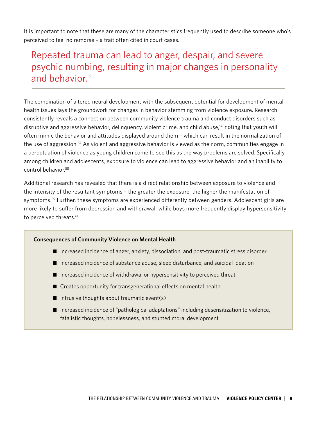It is important to note that these are many of the characteristics frequently used to describe someone who's perceived to feel no remorse – a trait often cited in court cases.

## Repeated trauma can lead to anger, despair, and severe psychic numbing, resulting in major changes in personality and behavior.<sup>55</sup>

The combination of altered neural development with the subsequent potential for development of mental health issues lays the groundwork for changes in behavior stemming from violence exposure. Research consistently reveals a connection between community violence trauma and conduct disorders such as disruptive and aggressive behavior, delinquency, violent crime, and child abuse,<sup>56</sup> noting that youth will often mimic the behavior and attitudes displayed around them – which can result in the normalization of the use of aggression.<sup>57</sup> As violent and aggressive behavior is viewed as the norm, communities engage in a perpetuation of violence as young children come to see this as the way problems are solved. Specifically among children and adolescents, exposure to violence can lead to aggressive behavior and an inability to control behavior.<sup>58</sup>

Additional research has revealed that there is a direct relationship between exposure to violence and the intensity of the resultant symptoms – the greater the exposure, the higher the manifestation of symptoms.<sup>59</sup> Further, these symptoms are experienced differently between genders. Adolescent girls are more likely to suffer from depression and withdrawal, while boys more frequently display hypersensitivity to perceived threats.<sup>60</sup>

#### **Consequences of Community Violence on Mental Health**

- Increased incidence of anger, anxiety, dissociation, and post-traumatic stress disorder
- $\blacksquare$  Increased incidence of substance abuse, sleep disturbance, and suicidal ideation
- $\blacksquare$  Increased incidence of withdrawal or hypersensitivity to perceived threat
- $\blacksquare$  Creates opportunity for transgenerational effects on mental health
- $\blacksquare$  Intrusive thoughts about traumatic event(s)
- Increased incidence of "pathological adaptations" including desensitization to violence, fatalistic thoughts, hopelessness, and stunted moral development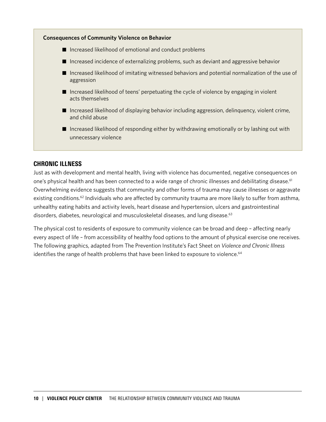

## CHRONIC ILLNESS

Just as with development and mental health, living with violence has documented, negative consequences on one's physical health and has been connected to a wide range of chronic illnesses and debilitating disease.<sup>61</sup> Overwhelming evidence suggests that community and other forms of trauma may cause illnesses or aggravate existing conditions.<sup>62</sup> Individuals who are affected by community trauma are more likely to suffer from asthma, unhealthy eating habits and activity levels, heart disease and hypertension, ulcers and gastrointestinal disorders, diabetes, neurological and musculoskeletal diseases, and lung disease.<sup>63</sup>

The physical cost to residents of exposure to community violence can be broad and deep – affecting nearly every aspect of life – from accessibility of healthy food options to the amount of physical exercise one receives. The following graphics, adapted from The Prevention Institute's Fact Sheet on *Violence and Chronic Illness* identifies the range of health problems that have been linked to exposure to violence.<sup>64</sup>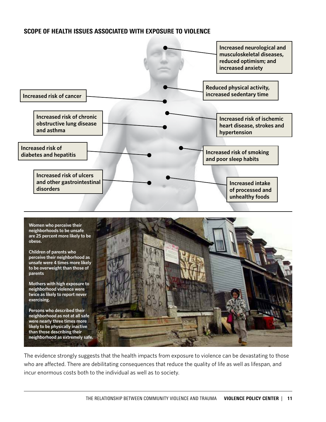## SCOPE OF HEALTH ISSUES ASSOCIATED WITH EXPOSURE TO VIOLENCE





The evidence strongly suggests that the health impacts from exposure to violence can be devastating to those who are affected. There are debilitating consequences that reduce the quality of life as well as lifespan, and incur enormous costs both to the individual as well as to society.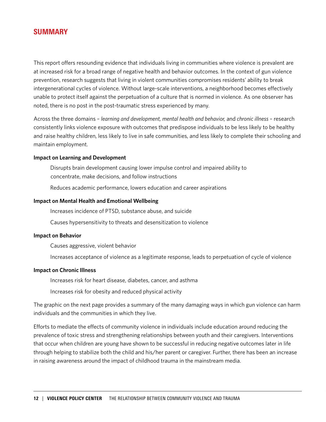## SUMMARY

This report offers resounding evidence that individuals living in communities where violence is prevalent are at increased risk for a broad range of negative health and behavior outcomes. In the context of gun violence prevention, research suggests that living in violent communities compromises residents' ability to break intergenerational cycles of violence. Without large-scale interventions, a neighborhood becomes effectively unable to protect itself against the perpetuation of a culture that is normed in violence. As one observer has noted, there is no post in the post-traumatic stress experienced by many.

Across the three domains – *learning and development, mental health and behavior,* and *chronic illness* – research consistently links violence exposure with outcomes that predispose individuals to be less likely to be healthy and raise healthy children, less likely to live in safe communities, and less likely to complete their schooling and maintain employment.

#### **Impact on Learning and Development**

Disrupts brain development causing lower impulse control and impaired ability to concentrate, make decisions, and follow instructions

Reduces academic performance, lowers education and career aspirations

#### **Impact on Mental Health and Emotional Wellbeing**

Increases incidence of PTSD, substance abuse, and suicide

Causes hypersensitivity to threats and desensitization to violence

#### **Impact on Behavior**

Causes aggressive, violent behavior

Increases acceptance of violence as a legitimate response, leads to perpetuation of cycle of violence

#### **Impact on Chronic Illness**

Increases risk for heart disease, diabetes, cancer, and asthma

Increases risk for obesity and reduced physical activity

The graphic on the next page provides a summary of the many damaging ways in which gun violence can harm individuals and the communities in which they live.

Efforts to mediate the effects of community violence in individuals include education around reducing the prevalence of toxic stress and strengthening relationships between youth and their caregivers. Interventions that occur when children are young have shown to be successful in reducing negative outcomes later in life through helping to stabilize both the child and his/her parent or caregiver. Further, there has been an increase in raising awareness around the impact of childhood trauma in the mainstream media.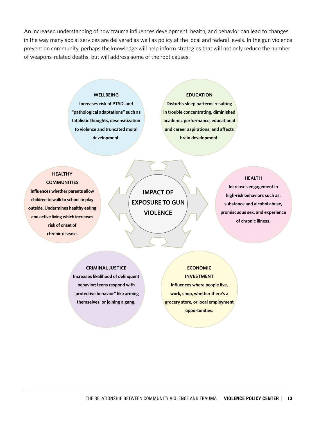An increased understanding of how trauma influences development, health, and behavior can lead to changes in the way many social services are delivered as well as policy at the local and federal levels. In the gun violence prevention community, perhaps the knowledge will help inform strategies that will not only reduce the number of weapons-related deaths, but will address some of the root causes.

#### **WELLBEING**

**Increases risk of PTSD, and "pathological adaptations" such as fatalistic thoughts, desensitization to violence and truncated moral development.**

#### **EDUCATION**

**Disturbs sleep patterns resulting in trouble concentrating, diminished academic performance, educational and career aspirations, and affects brain development.**

#### **HEALTHY COMMUNITIES**

**Influences whether parents allow children to walk to school or play outside. Undermines healthy eating and active living which increases risk of onset of chronic disease.**

**IMPACT OF EXPOSURE TO GUN VIOLENCE**

#### **HEALTH**

**Increases engagement in high-risk behaviors such as: substance and alcohol abuse, promiscuous sex, and experience of chronic illness.**

#### **CRIMINAL JUSTICE**

**Increases likelihood of delinquent behavior; teens respond with "protective behavior" like arming themselves, or joining a gang.**

**ECONOMIC INVESTMENT Influences where people live, work, shop, whether there's a grocery store, or local employment opportunities.**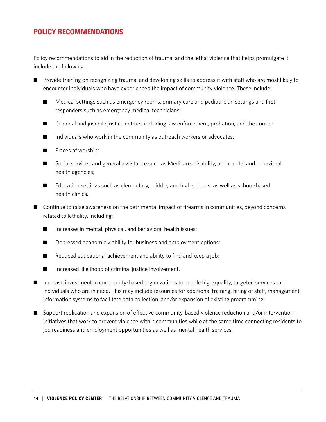## POLICY RECOMMENDATIONS

Policy recommendations to aid in the reduction of trauma, and the lethal violence that helps promulgate it, include the following.

- Provide training on recognizing trauma, and developing skills to address it with staff who are most likely to encounter individuals who have experienced the impact of community violence. These include:
	- Medical settings such as emergency rooms, primary care and pediatrician settings and first responders such as emergency medical technicians;
	- $\Box$  Criminal and juvenile justice entities including law enforcement, probation, and the courts;
	- $\blacksquare$  Individuals who work in the community as outreach workers or advocates;
	- $\blacksquare$  Places of worship;
	- Social services and general assistance such as Medicare, disability, and mental and behavioral health agencies;
	- Education settings such as elementary, middle, and high schools, as well as school-based health clinics.
- $\blacksquare$  Continue to raise awareness on the detrimental impact of firearms in communities, beyond concerns related to lethality, including:
	- $\blacksquare$  Increases in mental, physical, and behavioral health issues;
	- $\Box$  Depressed economic viability for business and employment options;
	- $\blacksquare$  Reduced educational achievement and ability to find and keep a job;
	- $\blacksquare$  Increased likelihood of criminal justice involvement.
- Increase investment in community-based organizations to enable high-quality, targeted services to individuals who are in need. This may include resources for additional training, hiring of staff, management information systems to facilitate data collection, and/or expansion of existing programming.
- Support replication and expansion of effective community-based violence reduction and/or intervention initiatives that work to prevent violence within communities while at the same time connecting residents to job readiness and employment opportunities as well as mental health services.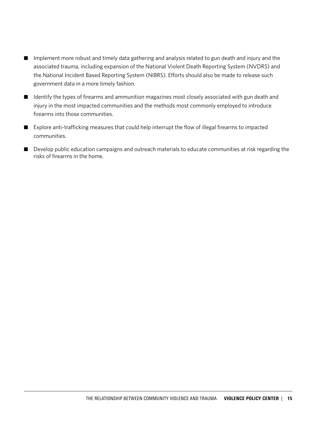- Implement more robust and timely data gathering and analysis related to gun death and injury and the associated trauma, including expansion of the National Violent Death Reporting System (NVDRS) and the National Incident Based Reporting System (NIBRS). Efforts should also be made to release such government data in a more timely fashion.
- Identify the types of firearms and ammunition magazines most closely associated with gun death and injury in the most impacted communities and the methods most commonly employed to introduce firearms into those communities.
- $\blacksquare$  Explore anti-trafficking measures that could help interrupt the flow of illegal firearms to impacted communities.
- Develop public education campaigns and outreach materials to educate communities at risk regarding the risks of firearms in the home.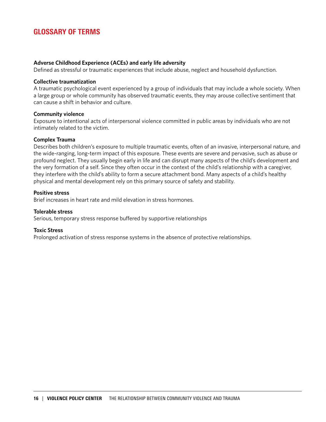## GLOSSARY OF TERMS

#### **Adverse Childhood Experience (ACEs) and early life adversity**

Defined as stressful or traumatic experiences that include abuse, neglect and household dysfunction.

#### **Collective traumatization**

A traumatic psychological event experienced by a group of individuals that may include a whole society. When a large group or whole community has observed traumatic events, they may arouse collective sentiment that can cause a shift in behavior and culture.

#### **Community violence**

Exposure to intentional acts of interpersonal violence committed in public areas by individuals who are not intimately related to the victim.

#### **Complex Trauma**

Describes both children's exposure to multiple traumatic events, often of an invasive, interpersonal nature, and the wide-ranging, long-term impact of this exposure. These events are severe and pervasive, such as abuse or profound neglect. They usually begin early in life and can disrupt many aspects of the child's development and the very formation of a self. Since they often occur in the context of the child's relationship with a caregiver, they interfere with the child's ability to form a secure attachment bond. Many aspects of a child's healthy physical and mental development rely on this primary source of safety and stability.

#### **Positive stress**

Brief increases in heart rate and mild elevation in stress hormones.

#### **Tolerable stress**

Serious, temporary stress response buffered by supportive relationships

#### **Toxic Stress**

Prolonged activation of stress response systems in the absence of protective relationships.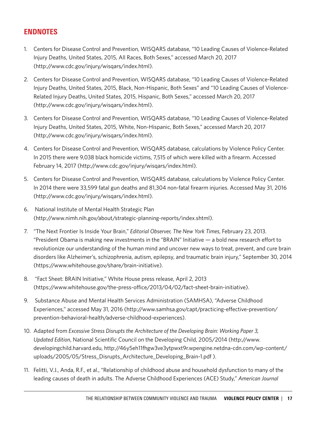## ENDNOTES

- 1. Centers for Disease Control and Prevention, WISQARS database, "10 Leading Causes of Violence-Related Injury Deaths, United States, 2015, All Races, Both Sexes," accessed March 20, 2017 (http://www.cdc.gov/injury/wisqars/index.html).
- 2. Centers for Disease Control and Prevention, WISQARS database, "10 Leading Causes of Violence-Related Injury Deaths, United States, 2015, Black, Non-Hispanic, Both Sexes" and "10 Leading Causes of Violence-Related Injury Deaths, United States, 2015, Hispanic, Both Sexes," accessed March 20, 2017 (http://www.cdc.gov/injury/wisqars/index.html).
- 3. Centers for Disease Control and Prevention, WISQARS database, "10 Leading Causes of Violence-Related Injury Deaths, United States, 2015, White, Non-Hispanic, Both Sexes," accessed March 20, 2017 (http://www.cdc.gov/injury/wisqars/index.html).
- 4. Centers for Disease Control and Prevention, WISQARS database, calculations by Violence Policy Center. In 2015 there were 9,038 black homicide victims, 7,515 of which were killed with a firearm. Accessed February 14, 2017 (http://www.cdc.gov/injury/wisqars/index.html).
- 5. Centers for Disease Control and Prevention, WISQARS database, calculations by Violence Policy Center. In 2014 there were 33,599 fatal gun deaths and 81,304 non-fatal firearm injuries. Accessed May 31, 2016 (http://www.cdc.gov/injury/wisqars/index.html).
- 6. National Institute of Mental Health Strategic Plan (http://www.nimh.nih.gov/about/strategic-planning-reports/index.shtml).
- 7. "The Next Frontier Is Inside Your Brain," *Editorial Observer, The New York Times*, February 23, 2013. "President Obama is making new investments in the "BRAIN" Initiative — a bold new research effort to revolutionize our understanding of the human mind and uncover new ways to treat, prevent, and cure brain disorders like Alzheimer's, schizophrenia, autism, epilepsy, and traumatic brain injury," September 30, 2014 (https://www.whitehouse.gov/share/brain-initiative).
- 8. "Fact Sheet: BRAIN Initiative," White House press release, April 2, 2013 (https://www.whitehouse.gov/the-press-office/2013/04/02/fact-sheet-brain-initiative).
- 9. Substance Abuse and Mental Health Services Administration (SAMHSA), "Adverse Childhood Experiences," accessed May 31, 2016 (http://www.samhsa.gov/capt/practicing-effective-prevention/ prevention-behavioral-health/adverse-childhood-experiences).
- 10. Adapted from *Excessive Stress Disrupts the Architecture of the Developing Brain: Working Paper 3, Updated Edition*, National Scientific Council on the Developing Child, 2005/2014 (http://www. developingchild.harvard.edu, http://46y5eh11fhgw3ve3ytpwxt9r.wpengine.netdna-cdn.com/wp-content/ uploads/2005/05/Stress\_Disrupts\_Architecture\_Developing\_Brain-1.pdf ).
- 11. Felitti, V.J., Anda, R.F., et al., "Relationship of childhood abuse and household dysfunction to many of the leading causes of death in adults. The Adverse Childhood Experiences (ACE) Study," *American Journal*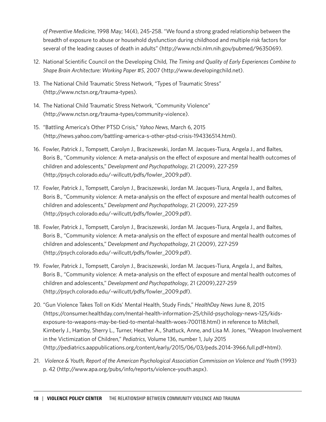*of Preventive Medicine*, 1998 May; 14(4), 245-258. "We found a strong graded relationship between the breadth of exposure to abuse or household dysfunction during childhood and multiple risk factors for several of the leading causes of death in adults" (http://www.ncbi.nlm.nih.gov/pubmed/9635069).

- 12. National Scientific Council on the Developing Child, *The Timing and Quality of Early Experiences Combine to Shape Brain Architecture: Working Paper #5*, 2007 (http://www.developingchild.net).
- 13. The National Child Traumatic Stress Network, "Types of Traumatic Stress" (http://www.nctsn.org/trauma-types).
- 14. The National Child Traumatic Stress Network, "Community Violence" (http://www.nctsn.org/trauma-types/community-violence).
- 15. "Battling America's Other PTSD Crisis," *Yahoo News*, March 6, 2015 (http://news.yahoo.com/battling-america-s-other-ptsd-crisis-194336514.html).
- 16. Fowler, Patrick J., Tompsett, Carolyn J., Braciszewski, Jordan M. Jacques-Tiura, Angela J., and Baltes, Boris B., "Community violence: A meta-analysis on the effect of exposure and mental health outcomes of children and adolescents," *Development and Psychopathology*, 21 (2009), 227-259 (http://psych.colorado.edu/~willcutt/pdfs/fowler\_2009.pdf).
- 17. Fowler, Patrick J., Tompsett, Carolyn J., Braciszewski, Jordan M. Jacques-Tiura, Angela J., and Baltes, Boris B., "Community violence: A meta-analysis on the effect of exposure and mental health outcomes of children and adolescents," *Development and Psychopathology*, 21 (2009), 227-259 (http://psych.colorado.edu/~willcutt/pdfs/fowler\_2009.pdf).
- 18. Fowler, Patrick J., Tompsett, Carolyn J., Braciszewski, Jordan M. Jacques-Tiura, Angela J., and Baltes, Boris B., "Community violence: A meta-analysis on the effect of exposure and mental health outcomes of children and adolescents," D*evelopment and Psychopathology*, 21 (2009), 227-259 (http://psych.colorado.edu/~willcutt/pdfs/fowler\_2009.pdf).
- 19. Fowler, Patrick J., Tompsett, Carolyn J., Braciszewski, Jordan M. Jacques-Tiura, Angela J., and Baltes, Boris B., "Community violence: A meta-analysis on the effect of exposure and mental health outcomes of children and adolescents," *Development and Psychopathology*, 21 (2009),227-259 (http://psych.colorado.edu/~willcutt/pdfs/fowler\_2009.pdf).
- 20. "Gun Violence Takes Toll on Kids' Mental Health, Study Finds," *HealthDay News* June 8, 2015 (https://consumer.healthday.com/mental-health-information-25/child-psychology-news-125/kidsexposure-to-weapons-may-be-tied-to-mental-health-woes-700118.html) in reference to Mitchell, Kimberly J., Hamby, Sherry L., Turner, Heather A., Shattuck, Anne, and Lisa M. Jones, "Weapon Involvement in the Victimization of Children," *Pediatrics*, Volume 136, number 1, July 2015 (http://pediatrics.aappublications.org/content/early/2015/06/03/peds.2014-3966.full.pdf+html).
- 21. *Violence & Youth, Report of the American Psychological Association Commission on Violence and Youth* (1993) p. 42 (http://www.apa.org/pubs/info/reports/violence-youth.aspx).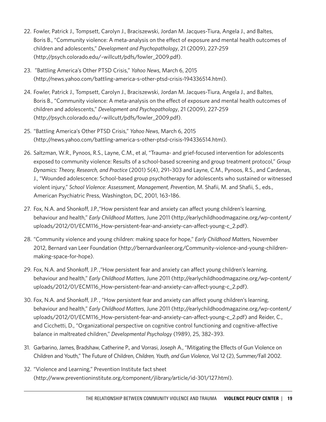- 22. Fowler, Patrick J., Tompsett, Carolyn J., Braciszewski, Jordan M. Jacques-Tiura, Angela J., and Baltes, Boris B., "Community violence: A meta-analysis on the effect of exposure and mental health outcomes of children and adolescents," *Development and Psychopathology*, 21 (2009), 227-259 (http://psych.colorado.edu/~willcutt/pdfs/fowler\_2009.pdf).
- 23. "Battling America's Other PTSD Crisis," *Yahoo News*, March 6, 2015 (http://news.yahoo.com/battling-america-s-other-ptsd-crisis-194336514.html).
- 24. Fowler, Patrick J., Tompsett, Carolyn J., Braciszewski, Jordan M. Jacques-Tiura, Angela J., and Baltes, Boris B., "Community violence: A meta-analysis on the effect of exposure and mental health outcomes of children and adolescents," *Development and Psychopathology*, 21 (2009), 227-259 (http://psych.colorado.edu/~willcutt/pdfs/fowler\_2009.pdf).
- 25. "Battling America's Other PTSD Crisis," *Yahoo News*, March 6, 2015 (http://news.yahoo.com/battling-america-s-other-ptsd-crisis-194336514.html).
- 26. Saltzman, W.R., Pynoos, R.S., Layne, C.M., et al, "Trauma- and grief-focused intervention for adolescents exposed to community violence: Results of a school-based screening and group treatment protocol," *Group Dynamics: Theory, Research, and Practice* (2001) 5(4), 291–303 and Layne, C.M., Pynoos, R.S., and Cardenas, J., "Wounded adolescence: School-based group psychotherapy for adolescents who sustained or witnessed violent injury," *School Violence: Assessment, Management, Prevention*, M. Shafii, M. and Shafii, S., eds., American Psychiatric Press, Washington, DC, 2001, 163–186.
- 27. Fox, N.A. and Shonkoff, J.P.,"How persistent fear and anxiety can affect young children's learning, behaviour and health," *Early Childhood Matters*, June 2011 (http://earlychildhoodmagazine.org/wp-content/ uploads/2012/01/ECM116\_How-persistent-fear-and-anxiety-can-affect-young-c\_2.pdf).
- 28. "Community violence and young children: making space for hope," *Early Childhood Matters*, November 2012, Bernard van Leer Foundation (http://bernardvanleer.org/Community-violence-and-young-childrenmaking-space-for-hope).
- 29. Fox, N.A. and Shonkoff, J.P. ,"How persistent fear and anxiety can affect young children's learning, behaviour and health," *Early Childhood Matters*, June 2011 (http://earlychildhoodmagazine.org/wp-content/ uploads/2012/01/ECM116\_How-persistent-fear-and-anxiety-can-affect-young-c\_2.pdf).
- 30. Fox, N.A. and Shonkoff, J.P. , "How persistent fear and anxiety can affect young children's learning, behaviour and health," *Early Childhood Matters*, June 2011 (http://earlychildhoodmagazine.org/wp-content/ uploads/2012/01/ECM116\_How-persistent-fear-and-anxiety-can-affect-young-c\_2.pdf) and Reider, C., and Cicchetti, D., "Organizational perspective on cognitive control functioning and cognitive-affective balance in maltreated children," *Developmental Psychology* (1989), 25, 382–393.
- 31. Garbarino, James, Bradshaw, Catherine P., and Vorrasi, Joseph A., "Mitigating the Effects of Gun Violence on Children and Youth," The Future of Children, *Children, Youth, and Gun Violence*, Vol 12 (2), Summer/Fall 2002.
- 32. "Violence and Learning," Prevention Institute fact sheet (http://www.preventioninstitute.org/component/jlibrary/article/id-301/127.html).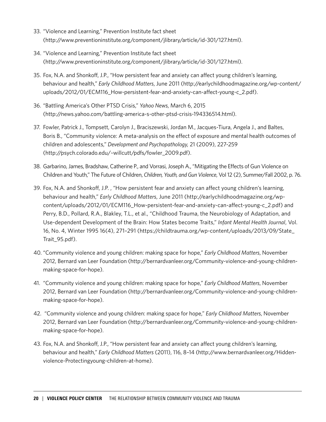- 33. "Violence and Learning," Prevention Institute fact sheet (http://www.preventioninstitute.org/component/jlibrary/article/id-301/127.html).
- 34. "Violence and Learning," Prevention Institute fact sheet (http://www.preventioninstitute.org/component/jlibrary/article/id-301/127.html).
- 35. Fox, N.A. and Shonkoff, J.P., "How persistent fear and anxiety can affect young children's learning, behaviour and health," *Early Childhood Matters*, June 2011 (http://earlychildhoodmagazine.org/wp-content/ uploads/2012/01/ECM116\_How-persistent-fear-and-anxiety-can-affect-young-c\_2.pdf).
- 36. "Battling America's Other PTSD Crisis," *Yahoo News*, March 6, 2015 (http://news.yahoo.com/battling-america-s-other-ptsd-crisis-194336514.html).
- 37. Fowler, Patrick J., Tompsett, Carolyn J., Braciszewski, Jordan M., Jacques-Tiura, Angela J., and Baltes, Boris B., "Community violence: A meta-analysis on the effect of exposure and mental health outcomes of children and adolescents," *Development and Psychopathology,* 21 (2009), 227-259 (http://psych.colorado.edu/~willcutt/pdfs/fowler\_2009.pdf).
- 38. Garbarino, James, Bradshaw, Catherine P., and Vorrasi, Joseph A., "Mitigating the Effects of Gun Violence on Children and Youth," The Future of Children, *Children, Youth, and Gun Violence*, Vol 12 (2), Summer/Fall 2002, p. 76.
- 39. Fox, N.A. and Shonkoff, J.P. , "How persistent fear and anxiety can affect young children's learning, behaviour and health," *Early Childhood Matters*, June 2011 (http://earlychildhoodmagazine.org/wpcontent/uploads/2012/01/ECM116\_How-persistent-fear-and-anxiety-can-affect-young-c\_2.pdf) and Perry, B.D., Pollard, R.A., Blakley, T.L., et al., "Childhood Trauma, the Neurobiology of Adaptation, and Use-dependent Development of the Brain: How States become Traits," *Infant Mental Health Journal*, Vol. 16, No. 4, Winter 1995 16(4), 271–291 (https://childtrauma.org/wp-content/uploads/2013/09/State\_ Trait\_95.pdf).
- 40. "Community violence and young children: making space for hope," *Early Childhood Matters*, November 2012, Bernard van Leer Foundation (http://bernardvanleer.org/Community-violence-and-young-childrenmaking-space-for-hope).
- 41. "Community violence and young children: making space for hope," *Early Childhood Matters*, November 2012, Bernard van Leer Foundation (http://bernardvanleer.org/Community-violence-and-young-childrenmaking-space-for-hope).
- 42. "Community violence and young children: making space for hope," *Early Childhood Matters*, November 2012, Bernard van Leer Foundation (http://bernardvanleer.org/Community-violence-and-young-childrenmaking-space-for-hope).
- 43. Fox, N.A. and Shonkoff, J.P., "How persistent fear and anxiety can affect young children's learning, behaviour and health," *Early Childhood Matters* (2011), 116, 8–14 (http://www.bernardvanleer.org/Hiddenviolence-Protectingyoung-children-at-home).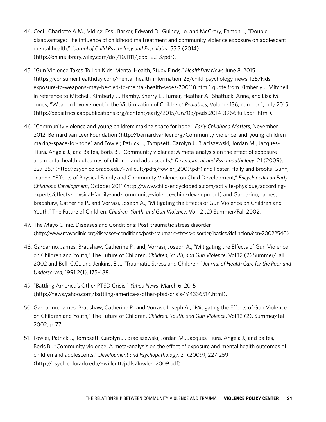- 44. Cecil, Charlotte A.M., Viding, Essi, Barker, Edward D., Guiney, Jo, and McCrory, Eamon J., "Double disadvantage: The influence of childhood maltreatment and community violence exposure on adolescent mental health," *Journal of Child Psychology and Psychiatry*, 55:7 (2014) (http://onlinelibrary.wiley.com/doi/10.1111/jcpp.12213/pdf).
- 45. "Gun Violence Takes Toll on Kids' Mental Health, Study Finds," *HealthDay News* June 8, 2015 (https://consumer.healthday.com/mental-health-information-25/child-psychology-news-125/kidsexposure-to-weapons-may-be-tied-to-mental-health-woes-700118.html) quote from Kimberly J. Mitchell in reference to Mitchell, Kimberly J., Hamby, Sherry L., Turner, Heather A., Shattuck, Anne, and Lisa M. Jones, "Weapon Involvement in the Victimization of Children," *Pediatrics*, Volume 136, number 1, July 2015 (http://pediatrics.aappublications.org/content/early/2015/06/03/peds.2014-3966.full.pdf+html).
- 46. "Community violence and young children: making space for hope," *Early Childhood Matters*, November 2012, Bernard van Leer Foundation (http://bernardvanleer.org/Community-violence-and-young-childrenmaking-space-for-hope) and Fowler, Patrick J., Tompsett, Carolyn J., Braciszewski, Jordan M., Jacques-Tiura, Angela J., and Baltes, Boris B., "Community violence: A meta-analysis on the effect of exposure and mental health outcomes of children and adolescents," *Development and Psychopathology*, 21 (2009), 227-259 (http://psych.colorado.edu/~willcutt/pdfs/fowler\_2009.pdf) and Foster, Holly and Brooks-Gunn, Jeanne, "Effects of Physical Family and Community Violence on Child Development," *Encyclopedia on Early Childhood Development*, October 2011 (http://www.child-encyclopedia.com/activite-physique/accordingexperts/effects-physical-family-and-community-violence-child-development) and Garbarino, James, Bradshaw, Catherine P., and Vorrasi, Joseph A., "Mitigating the Effects of Gun Violence on Children and Youth," The Future of Children, *Children, Youth, and Gun Violence*, Vol 12 (2) Summer/Fall 2002.
- 47. The Mayo Clinic. Diseases and Conditions: Post-traumatic stress disorder (http://www.mayoclinic.org/diseases-conditions/post-traumatic-stress-disorder/basics/definition/con-20022540).
- 48. Garbarino, James, Bradshaw, Catherine P., and, Vorrasi, Joseph A., "Mitigating the Effects of Gun Violence on Children and Youth," The Future of Children, *Children, Youth, and Gun Violence*, Vol 12 (2) Summer/Fall 2002 and Bell, C.C., and Jenkins, E.J., "Traumatic Stress and Children," *Journal of Health Care for the Poor and Underserved*, 1991 2(1), 175–188.
- 49. "Battling America's Other PTSD Crisis," *Yahoo News*, March 6, 2015 (http://news.yahoo.com/battling-america-s-other-ptsd-crisis-194336514.html).
- 50. Garbarino, James, Bradshaw, Catherine P., and Vorrasi, Joseph A., "Mitigating the Effects of Gun Violence on Children and Youth," The Future of Children, *Children, Youth, and Gun Violence*, Vol 12 (2), Summer/Fall 2002, p. 77.
- 51. Fowler, Patrick J., Tompsett, Carolyn J., Braciszewski, Jordan M., Jacques-Tiura, Angela J., and Baltes, Boris B., "Community violence: A meta-analysis on the effect of exposure and mental health outcomes of children and adolescents," *Development and Psychopathology*, 21 (2009), 227-259 (http://psych.colorado.edu/~willcutt/pdfs/fowler\_2009.pdf).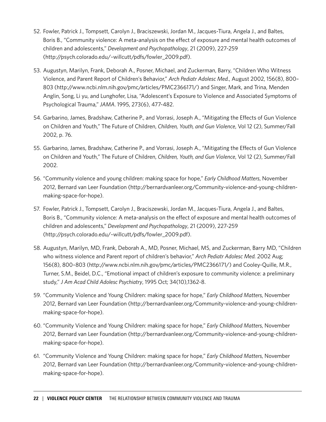- 52. Fowler, Patrick J., Tompsett, Carolyn J., Braciszewski, Jordan M., Jacques-Tiura, Angela J., and Baltes, Boris B., "Community violence: A meta-analysis on the effect of exposure and mental health outcomes of children and adolescents," *Development and Psychopathology*, 21 (2009), 227-259 (http://psych.colorado.edu/~willcutt/pdfs/fowler\_2009.pdf).
- 53. Augustyn, Marilyn, Frank, Deborah A., Posner, Michael, and Zuckerman, Barry, "Children Who Witness Violence, and Parent Report of Children's Behavior," *Arch Pediatr Adolesc Med.*, August 2002, 156(8), 800– 803 (http://www.ncbi.nlm.nih.gov/pmc/articles/PMC2366171/) and Singer, Mark, and Trina, Menden Anglin, Song, Li yu, and Lunghofer, Lisa, "Adolescent's Exposure to Violence and Associated Symptoms of Psychological Trauma," *JAMA*. 1995, 273(6), 477-482.
- 54. Garbarino, James, Bradshaw, Catherine P., and Vorrasi, Joseph A., "Mitigating the Effects of Gun Violence on Children and Youth," The Future of Children, *Children, Youth, and Gun Violence*, Vol 12 (2), Summer/Fall 2002, p. 76.
- 55. Garbarino, James, Bradshaw, Catherine P., and Vorrasi, Joseph A., "Mitigating the Effects of Gun Violence on Children and Youth," The Future of Children, *Children, Youth, and Gun Violence*, Vol 12 (2), Summer/Fall 2002.
- 56. "Community violence and young children: making space for hope," *Early Childhood Matters*, November 2012, Bernard van Leer Foundation (http://bernardvanleer.org/Community-violence-and-young-childrenmaking-space-for-hope).
- 57. Fowler, Patrick J., Tompsett, Carolyn J., Braciszewski, Jordan M., Jacques-Tiura, Angela J., and Baltes, Boris B., "Community violence: A meta-analysis on the effect of exposure and mental health outcomes of children and adolescents," *Development and Psychopathology*, 21 (2009), 227-259 (http://psych.colorado.edu/~willcutt/pdfs/fowler\_2009.pdf).
- 58. Augustyn, Marilyn, MD, Frank, Deborah A., MD, Posner, Michael, MS, and Zuckerman, Barry MD, "Children who witness violence and Parent report of children's behavior," *Arch Pediatr Adolesc Med.* 2002 Aug; 156(8), 800–803 (http://www.ncbi.nlm.nih.gov/pmc/articles/PMC2366171/) and Cooley-Quille, M.R., Turner, S.M., Beidel, D.C., "Emotional impact of children's exposure to community violence: a preliminary study," *J Am Acad Child Adolesc Psychiatry*, 1995 Oct; 34(10),1362-8.
- 59. "Community Violence and Young Children: making space for hope," *Early Childhood Matters*, November 2012, Bernard van Leer Foundation (http://bernardvanleer.org/Community-violence-and-young-childrenmaking-space-for-hope).
- 60. "Community Violence and Young Children: making space for hope," *Early Childhood Matters*, November 2012, Bernard van Leer Foundation (http://bernardvanleer.org/Community-violence-and-young-childrenmaking-space-for-hope).
- 61. "Community Violence and Young Children: making space for hope," *Early Childhood Matters*, November 2012, Bernard van Leer Foundation (http://bernardvanleer.org/Community-violence-and-young-childrenmaking-space-for-hope).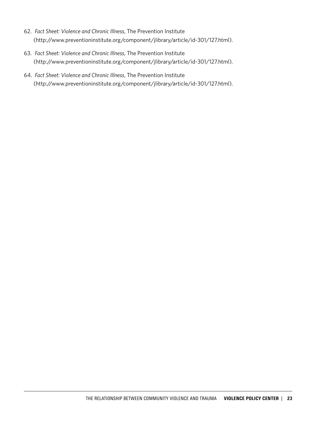- 62. *Fact Sheet: Violence and Chronic Illness*, The Prevention Institute (http://www.preventioninstitute.org/component/jlibrary/article/id-301/127.html).
- 63. *Fact Sheet: Violence and Chronic Illness*, The Prevention Institute (http://www.preventioninstitute.org/component/jlibrary/article/id-301/127.html).
- 64. *Fact Sheet: Violence and Chronic Illness*, The Prevention Institute (http://www.preventioninstitute.org/component/jlibrary/article/id-301/127.html).